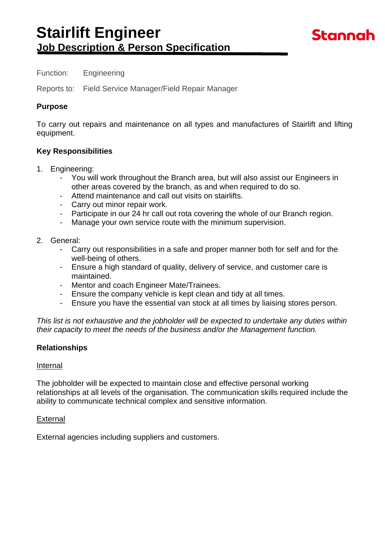### Function: Engineering

Reports to: Field Service Manager/Field Repair Manager

### **Purpose**

To carry out repairs and maintenance on all types and manufactures of Stairlift and lifting equipment.

### **Key Responsibilities**

- 1. Engineering:
	- You will work throughout the Branch area, but will also assist our Engineers in other areas covered by the branch, as and when required to do so.
	- Attend maintenance and call out visits on stairlifts.
	- Carry out minor repair work.
	- Participate in our 24 hr call out rota covering the whole of our Branch region.
	- Manage your own service route with the minimum supervision.
- 2. General:
	- Carry out responsibilities in a safe and proper manner both for self and for the well-being of others.
	- Ensure a high standard of quality, delivery of service, and customer care is maintained.
	- Mentor and coach Engineer Mate/Trainees.
	- Ensure the company vehicle is kept clean and tidy at all times.
	- Ensure you have the essential van stock at all times by liaising stores person.

*This list is not exhaustive and the jobholder will be expected to undertake any duties within their capacity to meet the needs of the business and/or the Management function.*

## **Relationships**

### Internal

The jobholder will be expected to maintain close and effective personal working relationships at all levels of the organisation. The communication skills required include the ability to communicate technical complex and sensitive information.

#### **External**

External agencies including suppliers and customers.